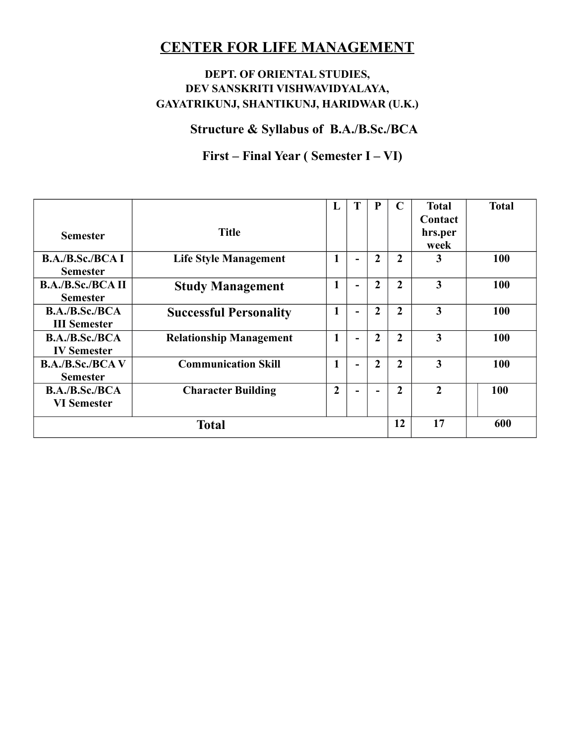## **DEPT. OF ORIENTAL STUDIES, DEV SANSKRITI VISHWAVIDYALAYA, GAYATRIKUNJ, SHANTIKUNJ, HARIDWAR (U.K.)**

**Structure & Syllabus of B.A./B.Sc./BCA**

# **First – Final Year ( Semester I – VI)**

| <b>Semester</b>                             | <b>Title</b>                   | L              | T                        | P              | $\mathbf C$    | <b>Total</b><br>Contact<br>hrs.per<br>week | <b>Total</b> |
|---------------------------------------------|--------------------------------|----------------|--------------------------|----------------|----------------|--------------------------------------------|--------------|
| <b>B.A./B.Sc./BCAI</b><br><b>Semester</b>   | <b>Life Style Management</b>   | 1              | $\overline{\phantom{0}}$ | $\overline{2}$ | $\overline{2}$ | 3                                          | 100          |
| <b>B.A./B.Sc./BCA II</b><br><b>Semester</b> | <b>Study Management</b>        | $\mathbf{1}$   | $\overline{\phantom{0}}$ | $\overline{2}$ | $\overline{2}$ | 3                                          | 100          |
| B.A./B.Sc./BCA<br><b>III</b> Semester       | <b>Successful Personality</b>  | 1              | $\blacksquare$           | $\overline{2}$ | $\overline{2}$ | 3                                          | 100          |
| B.A./B.Sc./BCA<br><b>IV</b> Semester        | <b>Relationship Management</b> | 1              | $\overline{\phantom{0}}$ | $\overline{2}$ | $\overline{2}$ | 3                                          | 100          |
| <b>B.A./B.Sc./BCAV</b><br><b>Semester</b>   | <b>Communication Skill</b>     | 1              | $\blacksquare$           | $\overline{2}$ | $\overline{2}$ | 3                                          | 100          |
| B.A./B.Sc./BCA<br><b>VI Semester</b>        | <b>Character Building</b>      | $\overline{2}$ |                          |                | $\overline{2}$ | $\overline{2}$                             | 100          |
|                                             | <b>Total</b>                   |                |                          |                | 12             | 17                                         | 600          |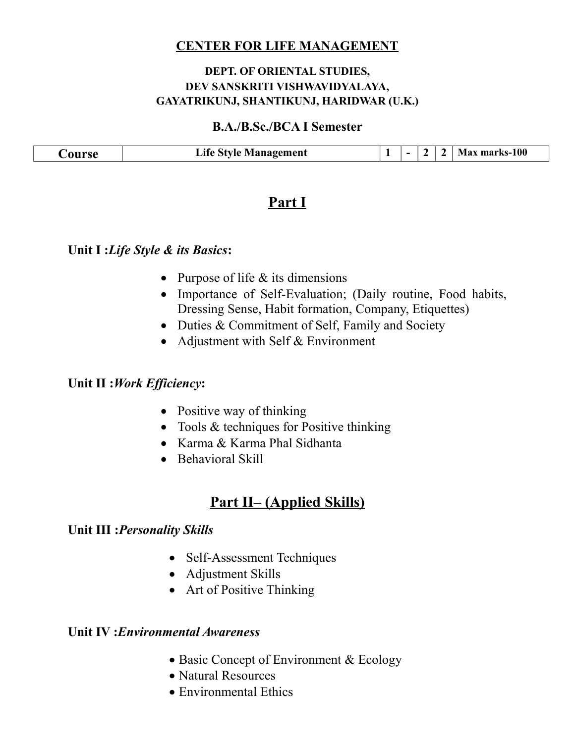#### **DEPT. OF ORIENTAL STUDIES, DEV SANSKRITI VISHWAVIDYALAYA, GAYATRIKUNJ, SHANTIKUNJ, HARIDWAR (U.K.)**

#### **B.A./B.Sc./BCA I Semester**

| $\sim$ | gement<br>лtе<br>avı | - | $\overline{\phantom{0}}$ |  | 100-ن |
|--------|----------------------|---|--------------------------|--|-------|
|        |                      |   |                          |  |       |

## **Part I**

#### **Unit I :***Life Style & its Basics***:**

- Purpose of life  $&$  its dimensions
- Importance of Self-Evaluation; (Daily routine, Food habits, Dressing Sense, Habit formation, Company, Etiquettes)
- Duties & Commitment of Self, Family and Society
- Adjustment with Self & Environment

#### **Unit II :***Work Efficiency***:**

- Positive way of thinking
- Tools & techniques for Positive thinking
- Karma & Karma Phal Sidhanta
- Behavioral Skill

## **Part II– (Applied Skills)**

#### **Unit III :***Personality Skills*

- Self-Assessment Techniques
- Adjustment Skills
- Art of Positive Thinking

## **Unit IV :***Environmental Awareness*

- Basic Concept of Environment & Ecology
- Natural Resources
- Environmental Ethics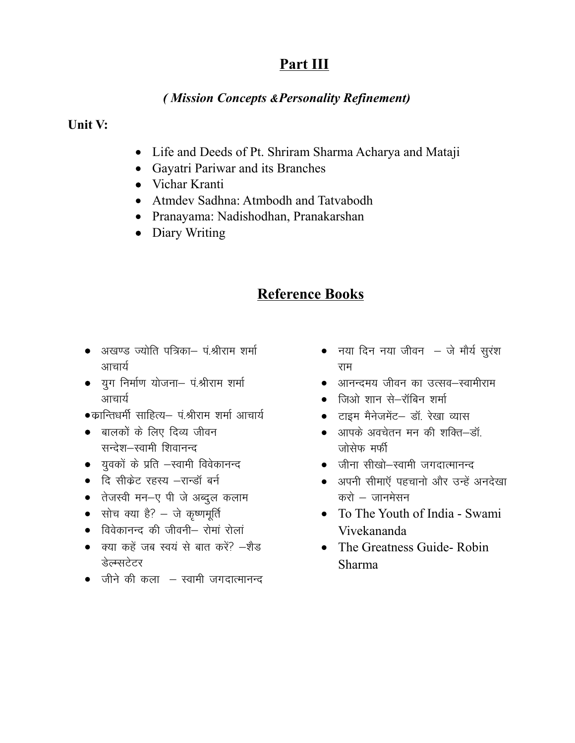## (Mission Concepts & Personality Refinement)

#### Unit V:

- Life and Deeds of Pt. Shriram Sharma Acharya and Mataji
- Gayatri Pariwar and its Branches
- Vichar Kranti
- Atmdey Sadhna: Atmbodh and Tatvabodh
- · Pranayama: Nadishodhan, Pranakarshan
- Diary Writing

- अखण्ड ज्योति पत्रिका– पं.श्रीराम शर्मा आचार्य
- युग निर्माण योजना- पं.श्रीराम शर्मा आचार्य
- •क्रान्तिधर्मी साहित्य– पं.श्रीराम शर्मा आचार्य
- बालकों के लिए दिव्य जीवन सन्देश-स्वामी शिवानन्द
- युवकों के प्रति –स्वामी विवेकानन्द
- दि सीकेट रहस्य –रान्डॉ बर्न
- तेजस्वी मन-ए पी जे अब्दुल कलाम
- सोच क्या है? जे कृष्णमूर्ति
- विवेकानन्द की जीवनी– रोमां रोलां
- क्या कहें जब स्वयं से बात करें? –शैड डेल्म्सटेटर
- $\bullet$  जीने की कला स्वामी जगदात्मानन्द
- नया दिन नया जीवन  $-$  जे मौर्य सुरंश राम
- आनन्दमय जीवन का उत्सव–स्वामीराम
- जिओ शान से–रॉबिन शर्मा
- टाइम मैनेजमेंट- डॉ. रेखा व्यास
- आपके अवचेतन मन की शक्ति-डॉ. जोसेफ मर्फी
- जीना सीखो-स्वामी जगदात्मानन्द
- अपनी सीमाएँ पहचानो और उन्हें अनदेखा करो $-$  जानमेसन
- To The Youth of India Swami Vivekananda
- The Greatness Guide-Robin Sharma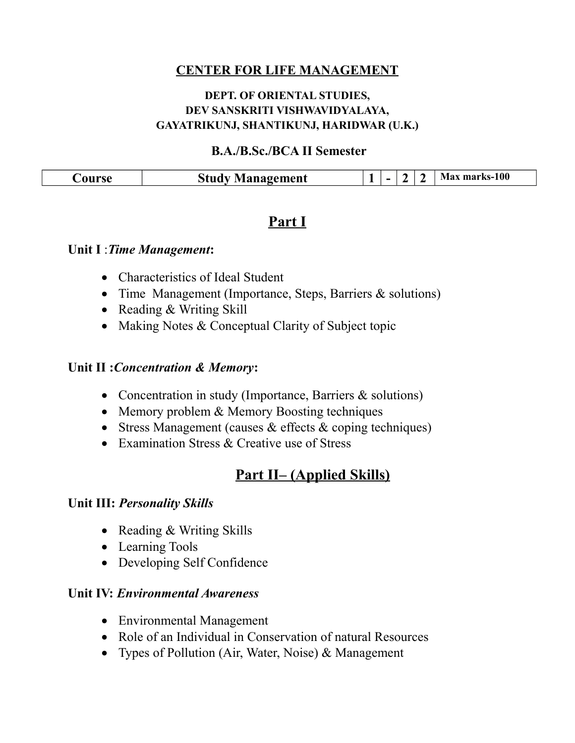## **DEPT. OF ORIENTAL STUDIES, DEV SANSKRITI VISHWAVIDYALAYA, GAYATRIKUNJ, SHANTIKUNJ, HARIDWAR (U.K.)**

## **B.A./B.Sc./BCA II Semester**

|--|

## **Part I**

### **Unit I** :*Time Management***:**

- Characteristics of Ideal Student
- Time Management (Importance, Steps, Barriers & solutions)
- Reading & Writing Skill
- Making Notes & Conceptual Clarity of Subject topic

### **Unit II :***Concentration & Memory***:**

- Concentration in study (Importance, Barriers & solutions)
- Memory problem & Memory Boosting techniques
- Stress Management (causes  $&$  effects  $&$  coping techniques)
- Examination Stress & Creative use of Stress

## **Part II– (Applied Skills)**

#### **Unit III:** *Personality Skills*

- Reading & Writing Skills
- Learning Tools
- Developing Self Confidence

#### **Unit IV:** *Environmental Awareness*

- Environmental Management
- Role of an Individual in Conservation of natural Resources
- Types of Pollution (Air, Water, Noise) & Management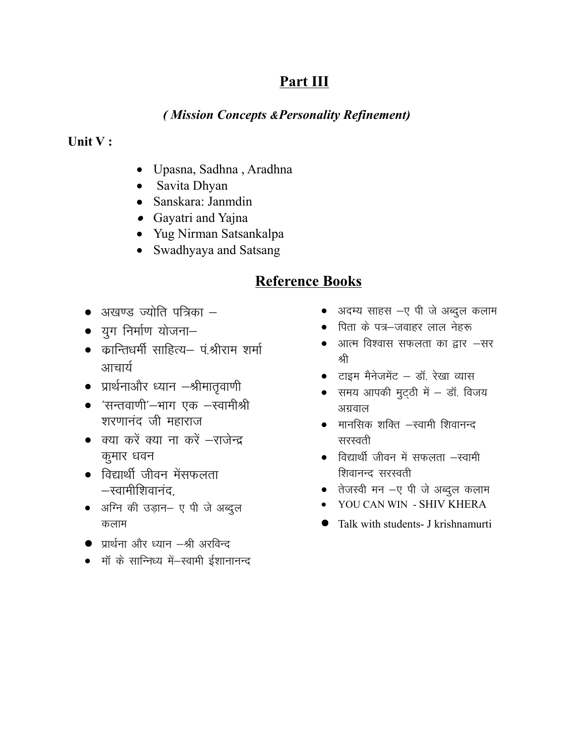## *( Mission Concepts &Personality Refinement)*

### **Unit V :**

- Upasna, Sadhna , Aradhna
- Savita Dhyan
- Sanskara: Janmdin
- Gayatri and Yajna
- Yug Nirman Satsankalpa
- Swadhyaya and Satsang

- $\bullet$  अखण्ड ज्योति पत्रिका  $-$
- $\bullet$  युग निर्माण योजना $-$
- कान्तिधर्मी साहित्य— पं*श्री*राम शर्मा आचार्य
- प्रार्थनाऔर ध्यान  $-A$ गिमातृवाणी
- 'सन्तवाणी'-भाग एक -स्वामीश्री शरणानंद जी महाराज
- $\bullet$  क्या करें क्या ना करें  $-$ राजेन्द्र कुमार धवन
- $\bullet$  विद्यार्थी जीवन मेंसफलता  $-$ स्वामीशिवानंद,
- अग्नि की उड़ान- ए पी जे अब्दुल कलाम
- $\bullet$  प्रार्थना और ध्यान $-A$ ी अरविन्द
- मॉ के सान्निध्य में–स्वामी ईशानानन्द
- अदम्य साहस –ए पी जे अब्दुल कलाम
- पिता के पत्र–जवाहर लाल नेहरू
- आत्म विश्वास सफलता का द्वार  $-$ सर श्री
- टाइम मैनेजमेंट डॉ. रेखा व्यास
- $\bullet$  समय आपकी मुट्ठी में  $-$  डॉ. विजय अग्रवाल
- $\bullet$  मानसिक शक्ति -स्वामी शिवानन्द सरस्वती
- $\bullet$  विद्यार्थी जीवन में सफलता  $-$ स्वामी शिवानन्द सरस्वती
- $\bullet$  तेजस्वी मन -ए पी जे अब्दुल कलाम
- YOU CAN WIN SHIV KHERA
- Talk with students- J krishnamurti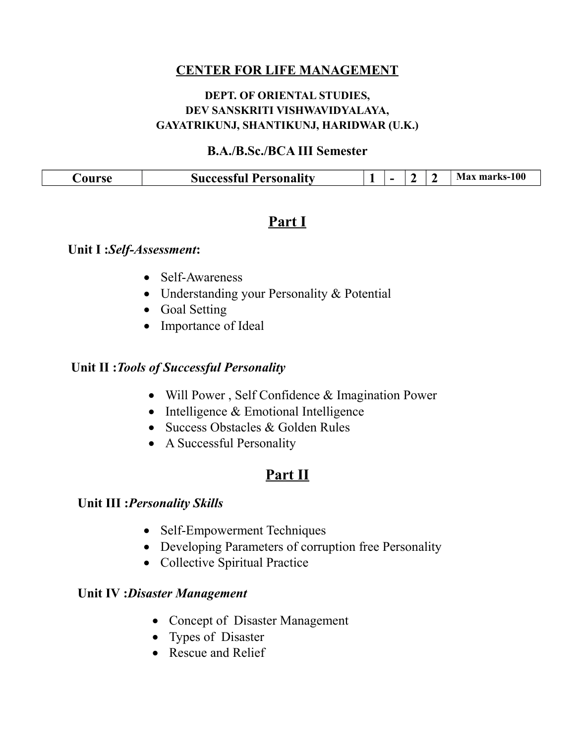## **DEPT. OF ORIENTAL STUDIES, DEV SANSKRITI VISHWAVIDYALAYA, GAYATRIKUNJ, SHANTIKUNJ, HARIDWAR (U.K.)**

### **B.A./B.Sc./BCA III Semester**

| <b>Successful Personality</b><br>ourse<br>- |
|---------------------------------------------|
|---------------------------------------------|

## **Part I**

### **Unit I :***Self-Assessment***:**

- Self-Awareness
- Understanding your Personality & Potential
- Goal Setting
- Importance of Ideal

## **Unit II :***Tools of Successful Personality*

- Will Power , Self Confidence & Imagination Power
- $\bullet$  Intelligence & Emotional Intelligence
- Success Obstacles & Golden Rules
- A Successful Personality

## **Part II**

### **Unit III :***Personality Skills*

- Self-Empowerment Techniques
- Developing Parameters of corruption free Personality
- Collective Spiritual Practice

#### **Unit IV :***Disaster Management*

- Concept of Disaster Management
- Types of Disaster
- Rescue and Relief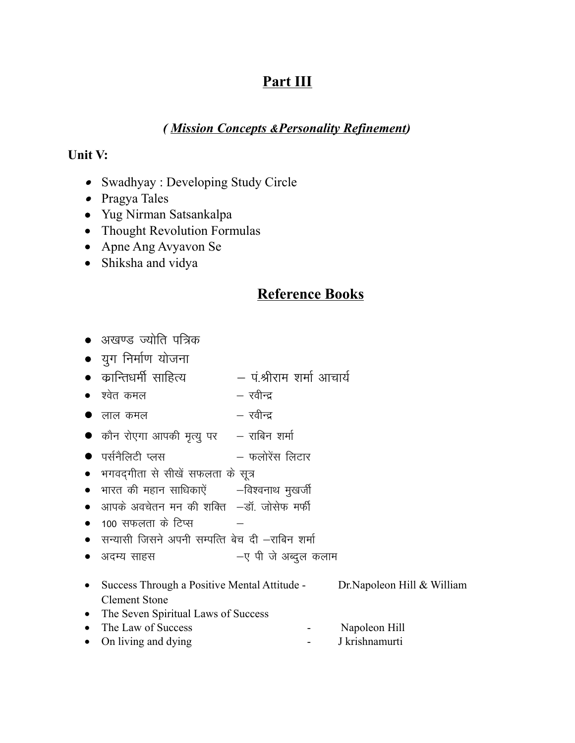## (Mission Concepts & Personality Refinement)

## Unit V:

- Swadhyay : Developing Study Circle
- Pragya Tales
- Yug Nirman Satsankalpa
- Thought Revolution Formulas
- Apne Ang Avyavon Se
- Shiksha and vidya

- अखण्ड ज्योति पत्रिक
- युग निर्माण योजना
- कान्तिधर्मी साहित्य — पंश्रीराम शर्मा आचार्य
- $\bullet$  एवेत कमल  $-$  रवीन्द
- रवीन्द्र  $\bullet$  लाल कमल
- $\bullet$  कौन रोएगा आपकी मृत्यु पर  $\qquad$  राबिन शर्मा
- फलोरेंस लिटार  $\bullet$  पर्सनैलिटी प्लस
- भगवद्गीता से सीखें सफलता के सूत्र
- भारत की महान साधिकाऐं –विश्वनाथ मुखर्जी
- आपके अवचेतन मन की शक्ति –डॉ. जोसेफ मर्फी
- $100$  सफलता के टिप्स
- सन्यासी जिसने अपनी सम्पत्ति बेच दी –राबिन शर्मा
- –ए पी जे अब्दुल कलाम • अदम्य साहस
- Success Through a Positive Mental Attitude -Dr.Napoleon Hill & William **Clement Stone**
- The Seven Spiritual Laws of Success • The Law of Success
- Napoleon Hill J krishnamurti • On living and dying  $\bar{\phantom{a}}$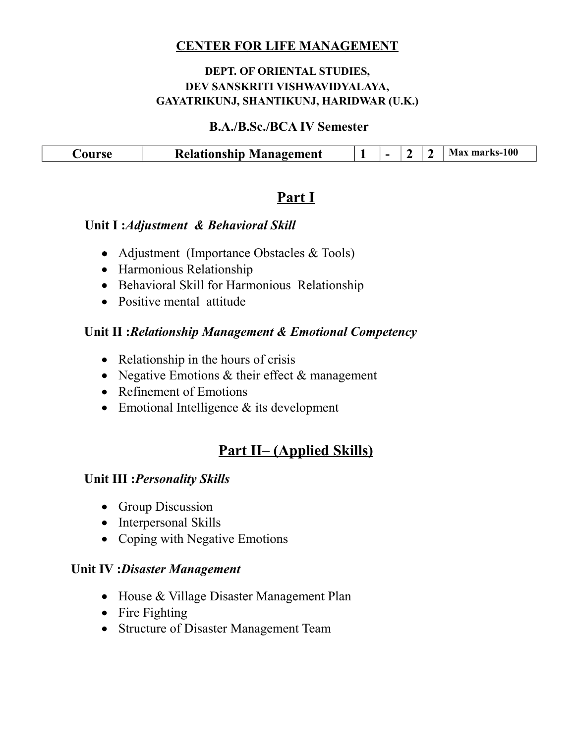### **DEPT. OF ORIENTAL STUDIES, DEV SANSKRITI VISHWAVIDYALAYA, GAYATRIKUNJ, SHANTIKUNJ, HARIDWAR (U.K.)**

#### **B.A./B.Sc./BCA IV Semester**

| $\mathbf{D}_{L}$<br>magement<br>stotionahin 50<br>я<br>K. | <u>_</u> | - | -<br>L<br>. . | $\overline{\phantom{0}}$ | 100 |
|-----------------------------------------------------------|----------|---|---------------|--------------------------|-----|
|                                                           |          |   |               |                          |     |

## **Part I**

### **Unit I :***Adjustment & Behavioral Skill*

- Adjustment (Importance Obstacles & Tools)
- Harmonious Relationship
- Behavioral Skill for Harmonious Relationship
- Positive mental attitude

### **Unit II :***Relationship Management & Emotional Competency*

- Relationship in the hours of crisis
- Negative Emotions  $&$  their effect  $&$  management
- Refinement of Emotions
- Emotional Intelligence & its development

# **Part II– (Applied Skills)**

## **Unit III :***Personality Skills*

- Group Discussion
- Interpersonal Skills
- Coping with Negative Emotions

#### **Unit IV :***Disaster Management*

- House & Village Disaster Management Plan
- Fire Fighting
- Structure of Disaster Management Team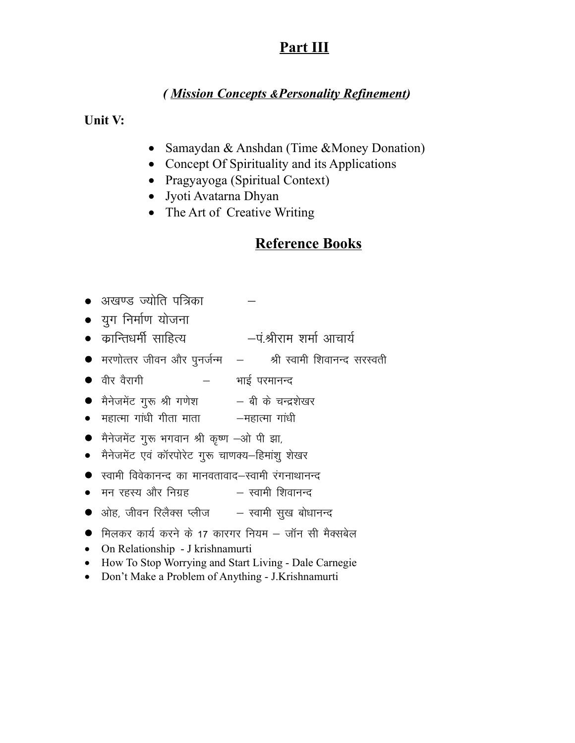## (Mission Concepts & Personality Refinement)

Unit V:

- Samaydan & Anshdan (Time & Money Donation)
- Concept Of Spirituality and its Applications
- Pragyayoga (Spiritual Context)
- Jyoti Avatarna Dhyan
- The Art of Creative Writing

- अखण्ड ज्योति पत्रिका
- युग निर्माण योजना
- कान्तिधर्मी साहित्य —पं.श्रीराम शर्मा आचार्य
- $\bullet$  मरणोत्तर जीवन और पुनर्जन्म  $\,$  श्री स्वामी शिवानन्द सरस्वती
- भाई परमानन्द • वीर वैरागी
- मैनेजमेंट गुरू श्री गणेश बी के चन्द्रशेखर
- महात्मा गांधी गीता माता —महात्मा गांधी
- मैनेजमेंट गुरू भगवान श्री कृष्ण -ओ पी झा,
- मैनेजमेंट एवं कॉरपोरेट गुरू चाणक्य-हिमांशु शेखर
- $\bullet$  स्वामी विवेकानन्द का मानवतावाद—स्वामी रंगनाथानन्द
- स्वामी शिवानन्द • मन रहस्य और निग्रह
- $\bullet$  ओह, जीवन रिलैक्स प्लीज $-$  स्वामी सुख बोधानन्द
- मिलकर कार्य करने के 17 कारगर नियम जॉन सी मैक्सबेल
- On Relationship J krishnamurti
- How To Stop Worrying and Start Living Dale Carnegie
- Don't Make a Problem of Anything J.Krishnamurti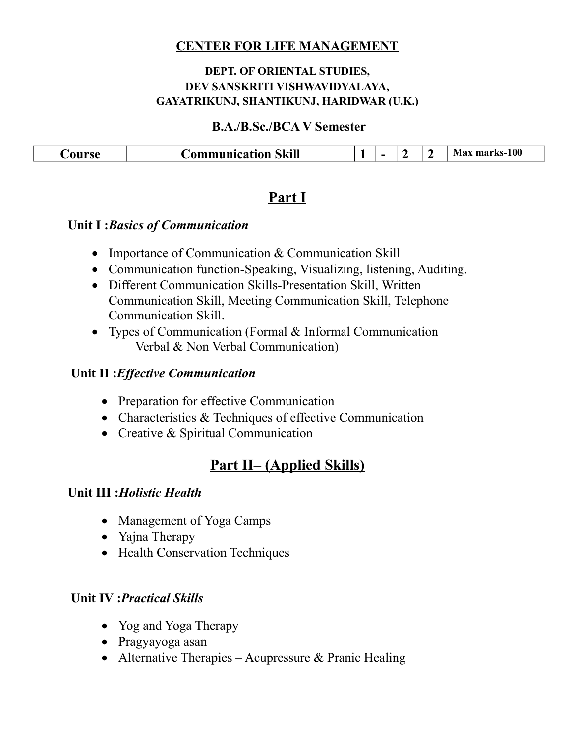### **DEPT. OF ORIENTAL STUDIES, DEV SANSKRITI VISHWAVIDYALAYA, GAYATRIKUNJ, SHANTIKUNJ, HARIDWAR (U.K.)**

#### **B.A./B.Sc./BCA V Semester**

| $\sim$<br>$\sim$ $  \sim$ $\sim$<br>-31 | <b>Skill</b><br>------------<br>.я | . . | - | . . | -<br>- | $ks-100$ |
|-----------------------------------------|------------------------------------|-----|---|-----|--------|----------|
|                                         |                                    |     |   |     |        |          |

## **Part I**

## **Unit I :***Basics of Communication*

- Importance of Communication & Communication Skill
- Communication function-Speaking, Visualizing, listening, Auditing.
- Different Communication Skills-Presentation Skill, Written Communication Skill, Meeting Communication Skill, Telephone Communication Skill.
- Types of Communication (Formal & Informal Communication Verbal & Non Verbal Communication)

## **Unit II :***Effective Communication*

- Preparation for effective Communication
- Characteristics & Techniques of effective Communication
- Creative & Spiritual Communication

# **Part II– (Applied Skills)**

## **Unit III :***Holistic Health*

- Management of Yoga Camps
- Yajna Therapy
- Health Conservation Techniques

## **Unit IV :***Practical Skills*

- Yog and Yoga Therapy
- Pragyayoga asan
- Alternative Therapies Acupressure  $\&$  Pranic Healing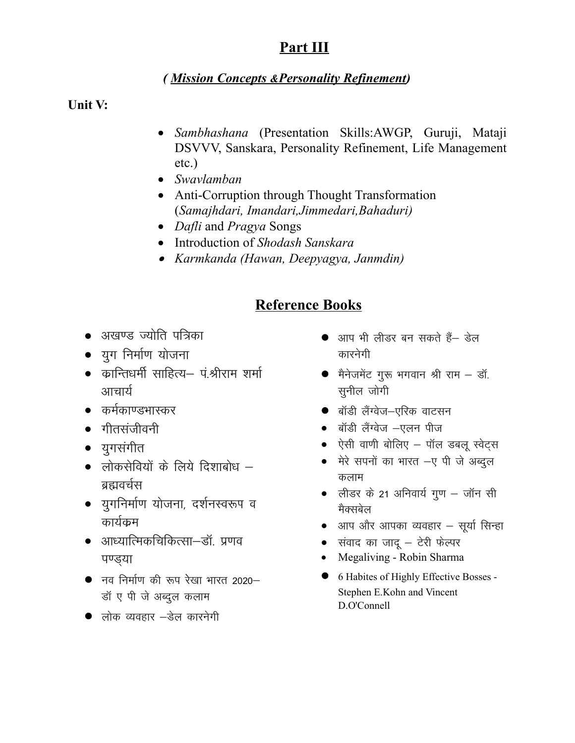## (Mission Concepts & Personality Refinement)

Unit V:

- · Sambhashana (Presentation Skills:AWGP, Guruji, Mataji DSVVV, Sanskara, Personality Refinement, Life Management  $etc.$ )
- Swavlamban
- Anti-Corruption through Thought Transformation (Samajhdari, Imandari, Jimmedari, Bahaduri)
- *Dafli* and *Pragya* Songs
- Introduction of Shodash Sanskara
- Karmkanda (Hawan, Deepyagya, Janmdin)

- अखण्ड ज्योति पत्रिका
- युग निर्माण योजना
- कान्तिधर्मी साहित्य– पं.श्रीराम शर्मा आचार्य
- कर्मकाण्डभास्कर
- गीतसंजीवनी
- युगसंगीत
- लोकसेवियों के लिये दिशाबोध ब्रह्मवर्चस
- युगनिर्माण योजना, दर्शनस्वरूप व कार्यकम
- आध्यात्मिकचिकित्सा–डॉ. प्रणव पण्डया
- $\bullet$  नव निर्माण की रूप रेखा भारत 2020– डॉ ए पी जे अब्दुल कलाम
- लोक व्यवहार –डेल कारनेगी
- आप भी लीडर बन सकते हैं— डेल कारनेगी
- मैनेजमेंट गुरू भगवान श्री राम डॉ. सनील जोगी
- बॉडी लैंग्वेज-एरिक वाटसन
- बॉडी लैंग्वेज –एलन पीज
- ऐसी वाणी बोलिए पॉल डबलू स्वेट्स
- मेरे सपनों का भारत -ए पी जे अब्दुल कलाम
- लीडर के 21 अनिवार्य गुण जॉन सी मैक्सबेल
- आप और आपका व्यवहार सूर्या सिन्हा
- $\bullet$  संवाद का जादू टेरी फेल्पर
- Megaliving Robin Sharma
- 6 Habites of Highly Effective Bosses -Stephen E.Kohn and Vincent D.O'Connell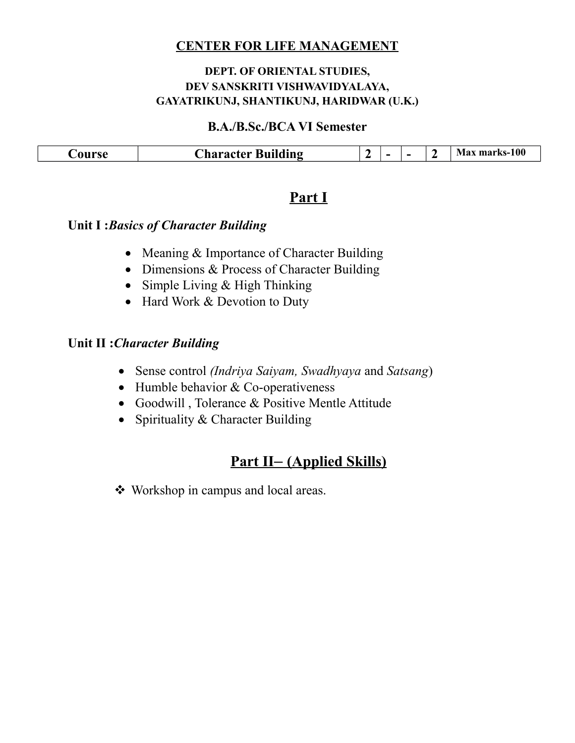### **DEPT. OF ORIENTAL STUDIES, DEV SANSKRITI VISHWAVIDYALAYA, GAYATRIKUNJ, SHANTIKUNJ, HARIDWAR (U.K.)**

#### **B.A./B.Sc./BCA VI Semester**

| $\sim$<br>AII FCA<br>5X | $\sim$ $\sim$<br>~·<br><b>Ruil</b><br>Ading<br>'hara <i>r</i> ter | A<br>- | -- | - | - | 100<br><b>Max</b><br>moure<br>. KS= 1<br>-ша- |
|-------------------------|-------------------------------------------------------------------|--------|----|---|---|-----------------------------------------------|
|                         |                                                                   |        |    |   |   |                                               |

## **Part I**

## **Unit I :***Basics of Character Building*

- Meaning & Importance of Character Building
- Dimensions & Process of Character Building
- Simple Living & High Thinking
- Hard Work & Devotion to Duty

## **Unit II :***Character Building*

- Sense control *(Indriya Saiyam, Swadhyaya* and *Satsang*)
- $\bullet$  Humble behavior & Co-operativeness
- Goodwill , Tolerance & Positive Mentle Attitude
- Spirituality  $&$  Character Building

# **Part II –(Applied Skills)**

Workshop in campus and local areas.